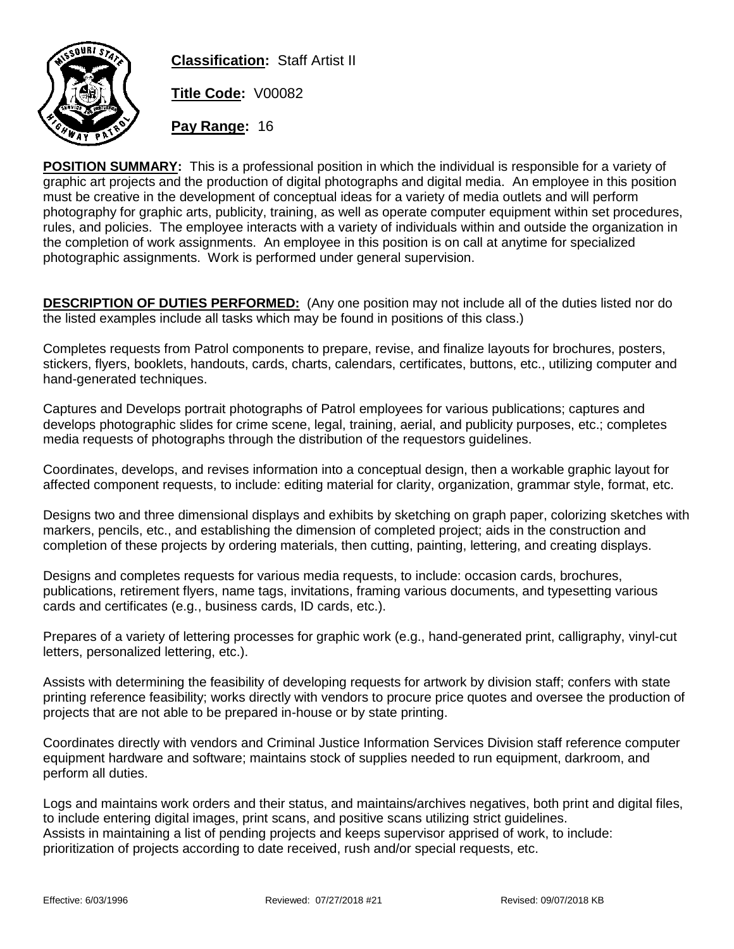

**Classification:** Staff Artist II **Title Code:** V00082

**Pay Range:** 16

**POSITION SUMMARY:** This is a professional position in which the individual is responsible for a variety of graphic art projects and the production of digital photographs and digital media. An employee in this position must be creative in the development of conceptual ideas for a variety of media outlets and will perform photography for graphic arts, publicity, training, as well as operate computer equipment within set procedures, rules, and policies. The employee interacts with a variety of individuals within and outside the organization in the completion of work assignments. An employee in this position is on call at anytime for specialized photographic assignments. Work is performed under general supervision.

**DESCRIPTION OF DUTIES PERFORMED:** (Any one position may not include all of the duties listed nor do the listed examples include all tasks which may be found in positions of this class.)

Completes requests from Patrol components to prepare, revise, and finalize layouts for brochures, posters, stickers, flyers, booklets, handouts, cards, charts, calendars, certificates, buttons, etc., utilizing computer and hand-generated techniques.

Captures and Develops portrait photographs of Patrol employees for various publications; captures and develops photographic slides for crime scene, legal, training, aerial, and publicity purposes, etc.; completes media requests of photographs through the distribution of the requestors guidelines.

Coordinates, develops, and revises information into a conceptual design, then a workable graphic layout for affected component requests, to include: editing material for clarity, organization, grammar style, format, etc.

Designs two and three dimensional displays and exhibits by sketching on graph paper, colorizing sketches with markers, pencils, etc., and establishing the dimension of completed project; aids in the construction and completion of these projects by ordering materials, then cutting, painting, lettering, and creating displays.

Designs and completes requests for various media requests, to include: occasion cards, brochures, publications, retirement flyers, name tags, invitations, framing various documents, and typesetting various cards and certificates (e.g., business cards, ID cards, etc.).

Prepares of a variety of lettering processes for graphic work (e.g., hand-generated print, calligraphy, vinyl-cut letters, personalized lettering, etc.).

Assists with determining the feasibility of developing requests for artwork by division staff; confers with state printing reference feasibility; works directly with vendors to procure price quotes and oversee the production of projects that are not able to be prepared in-house or by state printing.

Coordinates directly with vendors and Criminal Justice Information Services Division staff reference computer equipment hardware and software; maintains stock of supplies needed to run equipment, darkroom, and perform all duties.

Logs and maintains work orders and their status, and maintains/archives negatives, both print and digital files, to include entering digital images, print scans, and positive scans utilizing strict guidelines. Assists in maintaining a list of pending projects and keeps supervisor apprised of work, to include: prioritization of projects according to date received, rush and/or special requests, etc.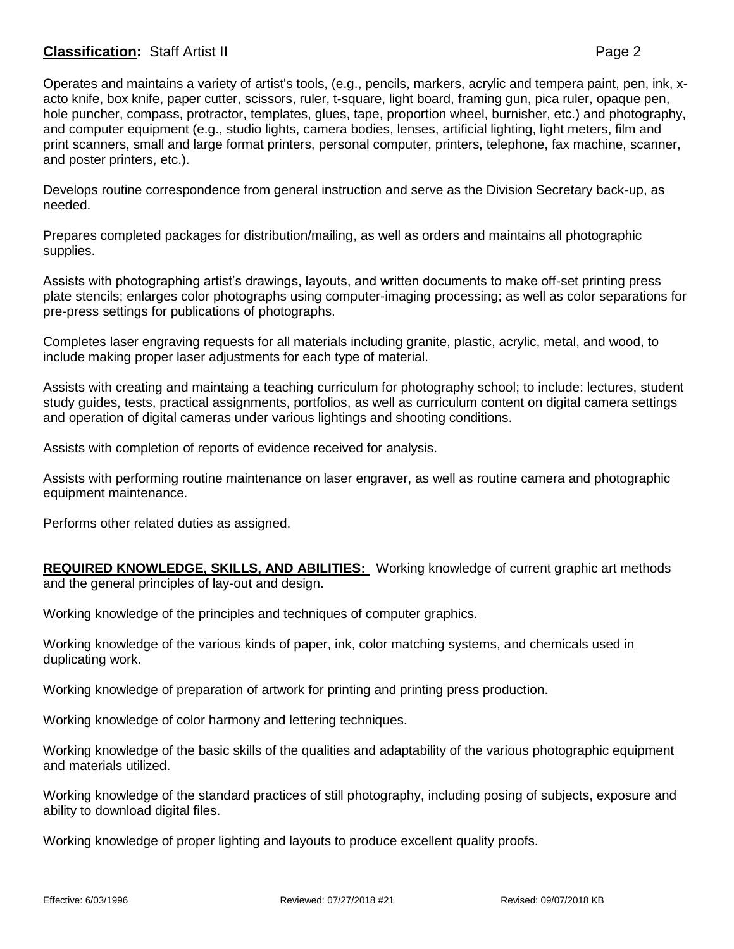## **Classification:** Staff Artist II **Page 2**

Operates and maintains a variety of artist's tools, (e.g., pencils, markers, acrylic and tempera paint, pen, ink, xacto knife, box knife, paper cutter, scissors, ruler, t-square, light board, framing gun, pica ruler, opaque pen, hole puncher, compass, protractor, templates, glues, tape, proportion wheel, burnisher, etc.) and photography, and computer equipment (e.g., studio lights, camera bodies, lenses, artificial lighting, light meters, film and print scanners, small and large format printers, personal computer, printers, telephone, fax machine, scanner, and poster printers, etc.).

Develops routine correspondence from general instruction and serve as the Division Secretary back-up, as needed.

Prepares completed packages for distribution/mailing, as well as orders and maintains all photographic supplies.

Assists with photographing artist's drawings, layouts, and written documents to make off-set printing press plate stencils; enlarges color photographs using computer-imaging processing; as well as color separations for pre-press settings for publications of photographs.

Completes laser engraving requests for all materials including granite, plastic, acrylic, metal, and wood, to include making proper laser adjustments for each type of material.

Assists with creating and maintaing a teaching curriculum for photography school; to include: lectures, student study guides, tests, practical assignments, portfolios, as well as curriculum content on digital camera settings and operation of digital cameras under various lightings and shooting conditions.

Assists with completion of reports of evidence received for analysis.

Assists with performing routine maintenance on laser engraver, as well as routine camera and photographic equipment maintenance.

Performs other related duties as assigned.

**REQUIRED KNOWLEDGE, SKILLS, AND ABILITIES:** Working knowledge of current graphic art methods and the general principles of lay-out and design.

Working knowledge of the principles and techniques of computer graphics.

Working knowledge of the various kinds of paper, ink, color matching systems, and chemicals used in duplicating work.

Working knowledge of preparation of artwork for printing and printing press production.

Working knowledge of color harmony and lettering techniques.

Working knowledge of the basic skills of the qualities and adaptability of the various photographic equipment and materials utilized.

Working knowledge of the standard practices of still photography, including posing of subjects, exposure and ability to download digital files.

Working knowledge of proper lighting and layouts to produce excellent quality proofs.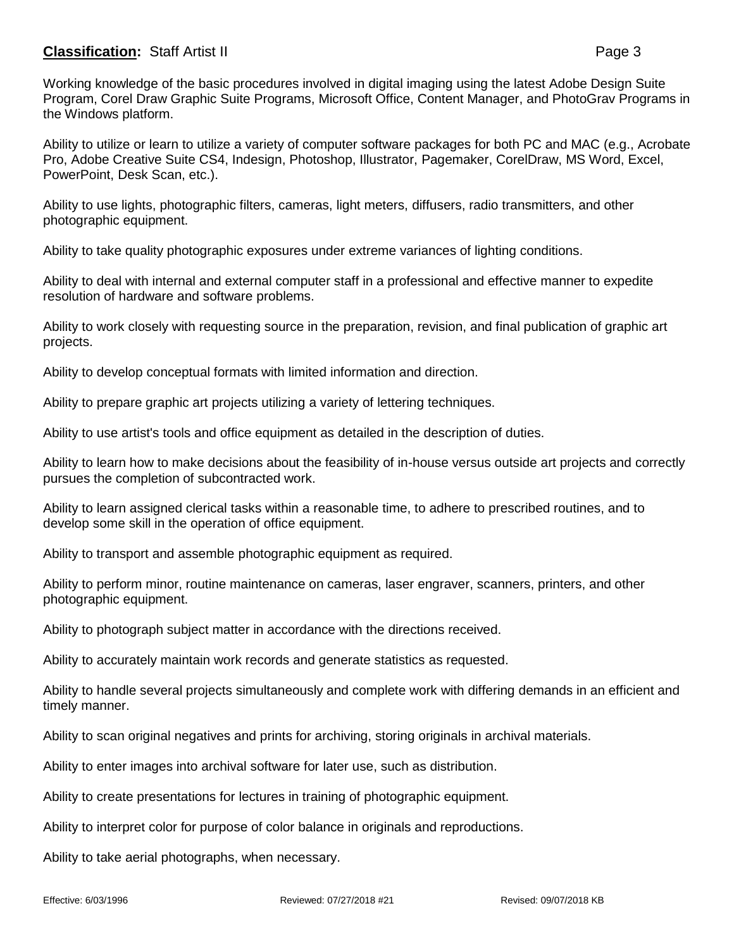## **Classification:** Staff Artist II **Page 3**

Working knowledge of the basic procedures involved in digital imaging using the latest Adobe Design Suite Program, Corel Draw Graphic Suite Programs, Microsoft Office, Content Manager, and PhotoGrav Programs in the Windows platform.

Ability to utilize or learn to utilize a variety of computer software packages for both PC and MAC (e.g., Acrobate Pro, Adobe Creative Suite CS4, Indesign, Photoshop, Illustrator, Pagemaker, CorelDraw, MS Word, Excel, PowerPoint, Desk Scan, etc.).

Ability to use lights, photographic filters, cameras, light meters, diffusers, radio transmitters, and other photographic equipment.

Ability to take quality photographic exposures under extreme variances of lighting conditions.

Ability to deal with internal and external computer staff in a professional and effective manner to expedite resolution of hardware and software problems.

Ability to work closely with requesting source in the preparation, revision, and final publication of graphic art projects.

Ability to develop conceptual formats with limited information and direction.

Ability to prepare graphic art projects utilizing a variety of lettering techniques.

Ability to use artist's tools and office equipment as detailed in the description of duties.

Ability to learn how to make decisions about the feasibility of in-house versus outside art projects and correctly pursues the completion of subcontracted work.

Ability to learn assigned clerical tasks within a reasonable time, to adhere to prescribed routines, and to develop some skill in the operation of office equipment.

Ability to transport and assemble photographic equipment as required.

Ability to perform minor, routine maintenance on cameras, laser engraver, scanners, printers, and other photographic equipment.

Ability to photograph subject matter in accordance with the directions received.

Ability to accurately maintain work records and generate statistics as requested.

Ability to handle several projects simultaneously and complete work with differing demands in an efficient and timely manner.

Ability to scan original negatives and prints for archiving, storing originals in archival materials.

Ability to enter images into archival software for later use, such as distribution.

Ability to create presentations for lectures in training of photographic equipment.

Ability to interpret color for purpose of color balance in originals and reproductions.

Ability to take aerial photographs, when necessary.